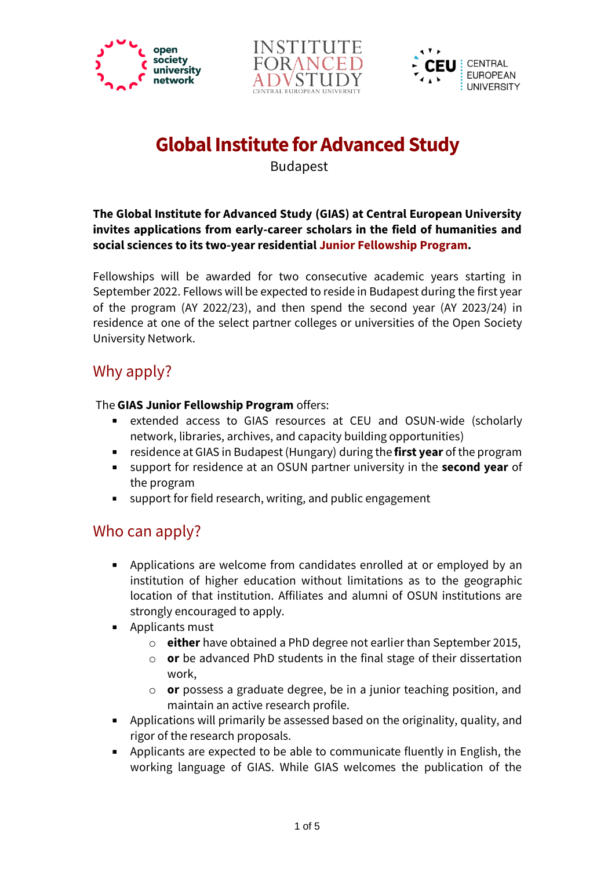





# **Global Institute for Advanced Study**

Budapest

**The Global Institute for Advanced Study (GIAS) at Central European University invites applications from early-career scholars in the field of humanities and social sciences to its two-year residential Junior Fellowship Program.**

Fellowships will be awarded for two consecutive academic years starting in September 2022. Fellows will be expected to reside in Budapest during the first year of the program (AY 2022/23), and then spend the second year (AY 2023/24) in residence at one of the select partner colleges or universities of the Open Society University Network.

# Why apply?

#### The **GIAS Junior Fellowship Program** offers:

- $\mathbf{u}$  . extended access to GIAS resources at CEU and OSUN-wide (scholarly network, libraries, archives, and capacity building opportunities)
- residence at GIAS in Budapest (Hungary) during the **first year** of the program
- support for residence at an OSUN partner university in the **second year** of  $\mathbf{u}$ the program
- support for field research, writing, and public engagement

### Who can apply?

- Applications are welcome from candidates enrolled at or employed by an institution of higher education without limitations as to the geographic location of that institution. Affiliates and alumni of OSUN institutions are strongly encouraged to apply.
- $\blacksquare$ Applicants must
	- o **either** have obtained a PhD degree not earlier than September 2015,
	- o **or** be advanced PhD students in the final stage of their dissertation work,
	- o **or** possess a graduate degree, be in a junior teaching position, and maintain an active research profile.
- Applications will primarily be assessed based on the originality, quality, and rigor of the research proposals.
- Applicants are expected to be able to communicate fluently in English, the working language of GIAS. While GIAS welcomes the publication of the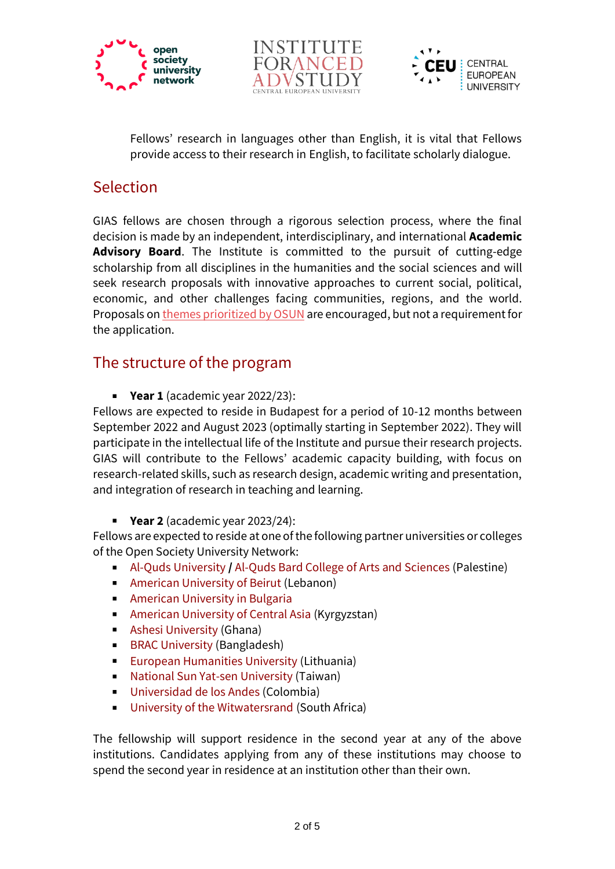





Fellows' research in languages other than English, it is vital that Fellows provide access to their research in English, to facilitate scholarly dialogue.

## Selection

GIAS fellows are chosen through a rigorous selection process, where the final decision is made by an independent, interdisciplinary, and international **Academic Advisory Board**. The Institute is committed to the pursuit of cutting-edge scholarship from all disciplines in the humanities and the social sciences and will seek research proposals with innovative approaches to current social, political, economic, and other challenges facing communities, regions, and the world. Proposals o[n themes prioritized by OSUN](https://opensocietyuniversitynetwork.org/about/themes/) are encouraged, but not a requirement for the application.

### The structure of the program

**Year 1** (academic year 2022/23):

Fellows are expected to reside in Budapest for a period of 10-12 months between September 2022 and August 2023 (optimally starting in September 2022). They will participate in the intellectual life of the Institute and pursue their research projects. GIAS will contribute to the Fellows' academic capacity building, with focus on research-related skills, such as research design, academic writing and presentation, and integration of research in teaching and learning.

**Year 2** (academic year 2023/24):

Fellows are expected to reside at one of the following partner universities or colleges of the Open Society University Network:

- [Al-Quds University](https://www.alquds.edu/en) **/** [Al-Quds Bard College of Arts and Sciences](https://bard.alquds.edu/) (Palestine)
- **[American University of Beirut](https://www.aub.edu.lb/) (Lebanon)**
- **[American University in Bulgaria](https://www.aubg.edu/)**
- [American University of Central Asia](https://www.auca.kg/) (Kyrgyzstan)
- [Ashesi University](https://www.ashesi.edu.gh/) (Ghana)
- [BRAC University](https://www.bracu.ac.bd/) (Bangladesh)  $\mathbf{m}$
- [European Humanities University](https://en.ehu.lt/) [\(](https://en.ehu.lt/)Lithuania)  $\mathbf{m}$  .
- [National Sun Yat-sen University](https://www.nsysu.edu.tw/?Lang=en) (Taiwan)
- $\mathbf{u}$  . [Universidad de los Andes](https://uniandes.edu.co/en) (Colombia)
- [University of the Witwatersrand](https://www.wits.ac.za/) (South Africa)

The fellowship will support residence in the second year at any of the above institutions. Candidates applying from any of these institutions may choose to spend the second year in residence at an institution other than their own.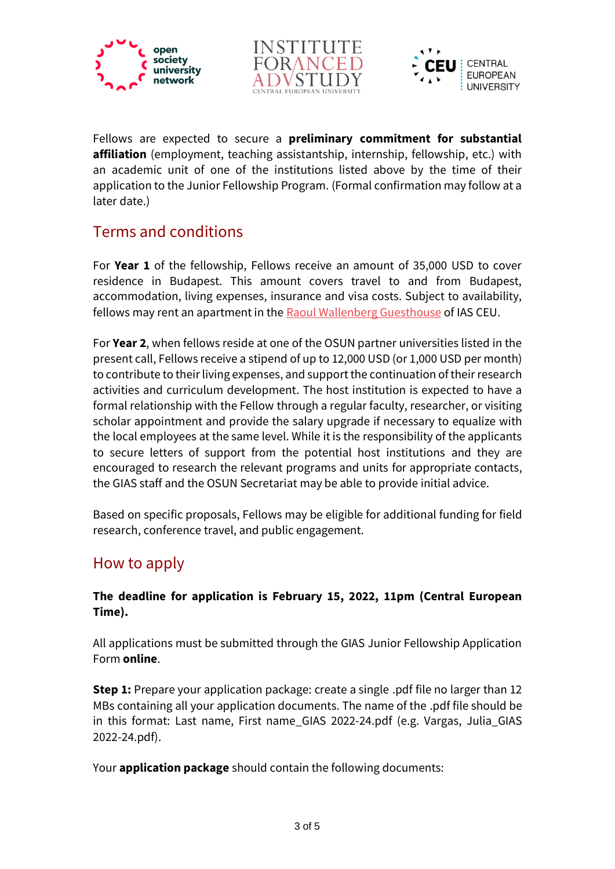





Fellows are expected to secure a **preliminary commitment for substantial affiliation** (employment, teaching assistantship, internship, fellowship, etc.) with an academic unit of one of the institutions listed above by the time of their application to the Junior Fellowship Program. (Formal confirmation may follow at a later date.)

### Terms and conditions

For **Year 1** of the fellowship, Fellows receive an amount of 35,000 USD to cover residence in Budapest. This amount covers travel to and from Budapest, accommodation, living expenses, insurance and visa costs. Subject to availability, fellows may rent an apartment in the [Raoul Wallenberg Guesthouse](https://ias.ceu.edu/raoul-wallenberg-guesthouse-0) of IAS CEU.

For **Year 2**, when fellows reside at one of the OSUN partner universities listed in the present call, Fellows receive a stipend of up to 12,000 USD (or 1,000 USD per month) to contribute to their living expenses, and support the continuation oftheir research activities and curriculum development. The host institution is expected to have a formal relationship with the Fellow through a regular faculty, researcher, or visiting scholar appointment and provide the salary upgrade if necessary to equalize with the local employees at the same level. While it is the responsibility of the applicants to secure letters of support from the potential host institutions and they are encouraged to research the relevant programs and units for appropriate contacts, the GIAS staff and the OSUN Secretariat may be able to provide initial advice.

Based on specific proposals, Fellows may be eligible for additional funding for field research, conference travel, and public engagement.

### How to apply

#### **The deadline for application is February 15, 2022, 11pm (Central European Time).**

All applications must be submitted through the GIAS Junior Fellowship Application Form **online**.

**Step 1:** Prepare your application package: create a single .pdf file no larger than 12 MBs containing all your application documents. The name of the .pdf file should be in this format: Last name, First name\_GIAS 2022-24.pdf (e.g. Vargas, Julia\_GIAS 2022-24.pdf).

Your **application package** should contain the following documents: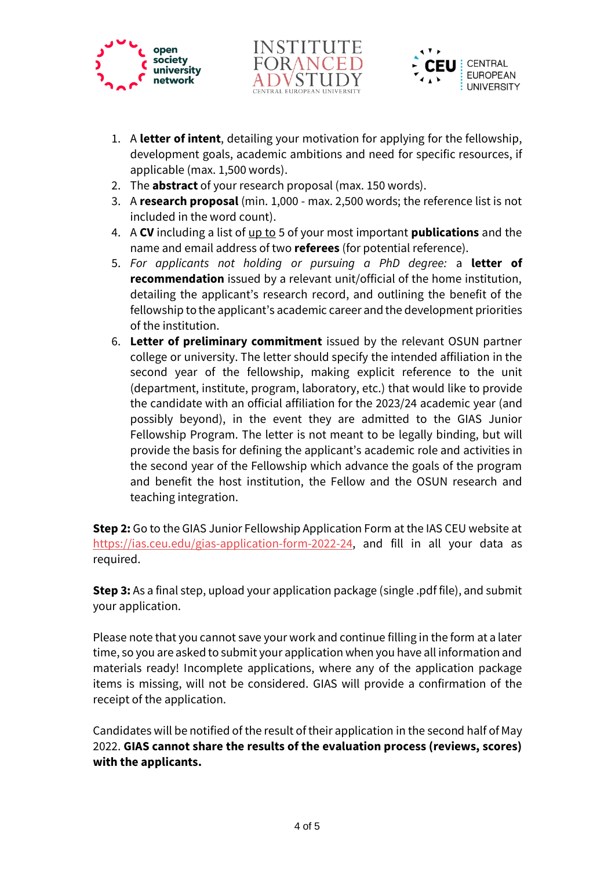





- 1. A **letter of intent**, detailing your motivation for applying for the fellowship, development goals, academic ambitions and need for specific resources, if applicable (max. 1,500 words).
- 2. The **abstract** of your research proposal (max. 150 words).
- 3. A **research proposal** (min. 1,000 max. 2,500 words; the reference list is not included in the word count).
- 4. A **CV** including a list of up to 5 of your most important **publications** and the name and email address of two **referees** (for potential reference).
- 5. *For applicants not holding or pursuing a PhD degree:* a **letter of recommendation** issued by a relevant unit/official of the home institution, detailing the applicant's research record, and outlining the benefit of the fellowship to the applicant's academic career and the development priorities of the institution.
- 6. **Letter of preliminary commitment** issued by the relevant OSUN partner college or university. The letter should specify the intended affiliation in the second year of the fellowship, making explicit reference to the unit (department, institute, program, laboratory, etc.) that would like to provide the candidate with an official affiliation for the 2023/24 academic year (and possibly beyond), in the event they are admitted to the GIAS Junior Fellowship Program. The letter is not meant to be legally binding, but will provide the basis for defining the applicant's academic role and activities in the second year of the Fellowship which advance the goals of the program and benefit the host institution, the Fellow and the OSUN research and teaching integration.

**Step 2:** Go to the GIAS Junior Fellowship Application Form at the IAS CEU website at [https://ias.ceu.edu/gias-application-form-2022-24,](https://ias.ceu.edu/gias-application-form-2022-24) and fill in all your data as required.

**Step 3:** As a final step, upload your application package (single .pdf file), and submit your application.

Please note that you cannot save your work and continue filling in the form at a later time, so you are asked to submit your application when you have all information and materials ready! Incomplete applications, where any of the application package items is missing, will not be considered. GIAS will provide a confirmation of the receipt of the application.

Candidates will be notified of the result of their application in the second half of May 2022. **GIAS cannot share the results of the evaluation process (reviews, scores) with the applicants.**